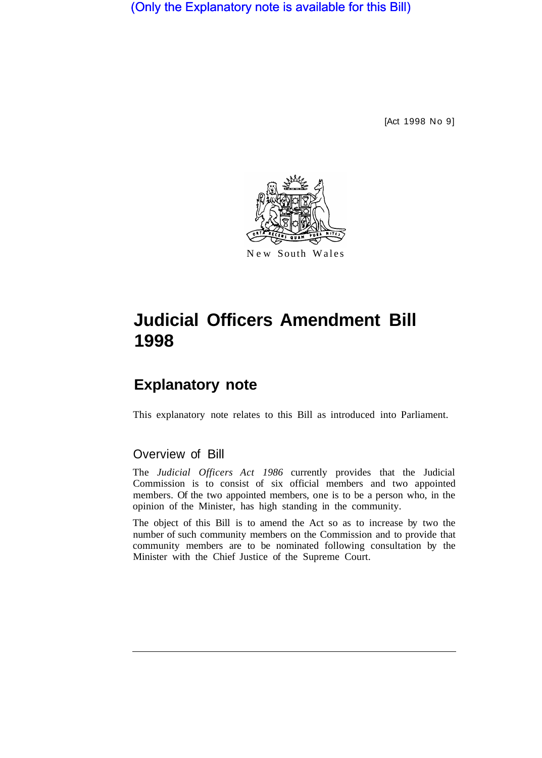(Only the Explanatory note is available for this Bill)

[Act 1998 No 9]



# **Judicial Officers Amendment Bill 1998**

## **Explanatory note**

This explanatory note relates to this Bill as introduced into Parliament.

### Overview of Bill

The *Judicial Officers Act 1986* currently provides that the Judicial Commission is to consist of six official members and two appointed members. Of the two appointed members, one is to be a person who, in the opinion of the Minister, has high standing in the community.

The object of this Bill is to amend the Act so as to increase by two the number of such community members on the Commission and to provide that community members are to be nominated following consultation by the Minister with the Chief Justice of the Supreme Court.